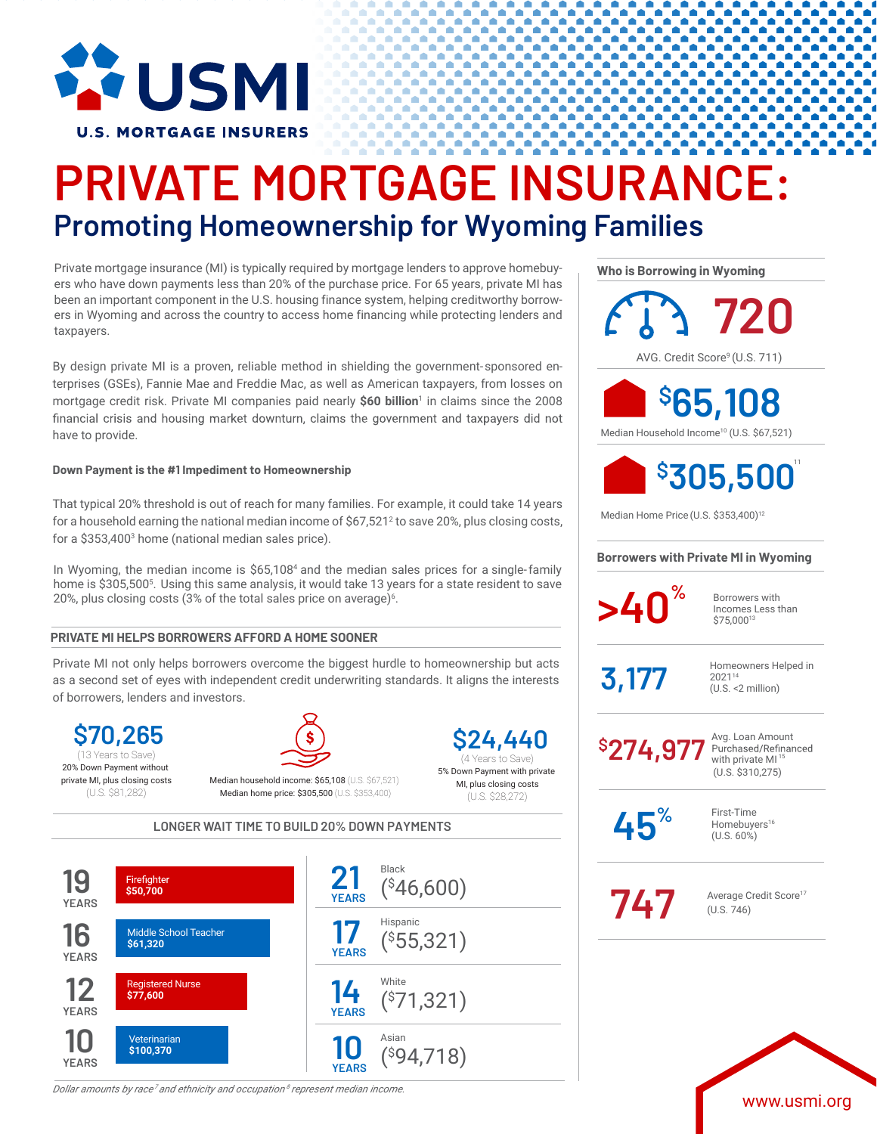

# **PRIVATE MORTGAGE INSURANCE: Promoting Homeownership for Wyoming Families**

Private mortgage insurance (MI) is typically required by mortgage lenders to approve homebuyers who have down payments less than 20% of the purchase price. For 65 years, private MI has been an important component in the U.S. housing finance system, helping creditworthy borrowers in Wyoming and across the country to access home financing while protecting lenders and taxpayers.

By design private MI is a proven, reliable method in shielding the government-sponsored enterprises (GSEs), Fannie Mae and Freddie Mac, as well as American taxpayers, from losses on mortgage credit risk. Private MI companies paid nearly **\$60 billion**<sup>1</sup> in claims since the 2008 financial crisis and housing market downturn, claims the government and taxpayers did not have to provide.

### **Down Payment is the #1 Impediment to Homeownership**

That typical 20% threshold is out of reach for many families. For example, it could take 14 years for a household earning the national median income of  $$67,521<sup>2</sup>$  to save 20%, plus closing costs, for a \$353,4003 home (national median sales price).

In Wyoming, the median income is \$65,108<sup>4</sup> and the median sales prices for a single-family home is \$305,5005 . Using this same analysis, it would take 13 years for a state resident to save 20%, plus closing costs (3% of the total sales price on average) $^{\rm 6}.$ 

## **PRIVATE MI HELPS BORROWERS AFFORD A HOME SOONER**

Private MI not only helps borrowers overcome the biggest hurdle to homeownership but acts as a second set of eyes with independent credit underwriting standards. It aligns the interests of borrowers, lenders and investors.

**\$70,265** 20% Down Payment without private MI, plus closing costs (U.S. \$81,282) (13 Years to Save) **13** (4 Years to Save)



Median household income: \$65,108 (U.S. \$67,521) Median home price: \$305,500 (U.S. \$353,400)

**\$24,440** 5% Down Payment with private

MI, plus closing costs (U.S. \$28,272)

**LONGER WAIT TIME TO BUILD 20% DOWN PAYMENTS**



*Dollar amounts by race<sup>7</sup> and ethnicity and occupation <sup>8</sup> represent median income.*

**Who is Borrowing in Wyoming**

AVG. Credit Score<sup>9</sup> (U.S. 711) **720 \$ 65,108**

Median Household Income10 (U.S. \$67,521)



Median Home Price (U.S. \$353,400)<sup>12</sup>

### **Borrowers with Private MI in Wyoming**

**b** Borrowers with

Incomes Less than \$75,00013

 $\overline{3,177}$  Homeowners Helped in 202114 (U.S. <2 million)

**\$ 274,977**

Avg. Loan Amount<br>Purchased/Refinanced with private  $MI<sup>1</sup>$ (U.S. \$310,275)

**45%**

First-Time Homebuyers<sup>16</sup> (U.S. 60%)

Average Credit Score<sup>17</sup><br>(U.S. 746) (U.S. 746)